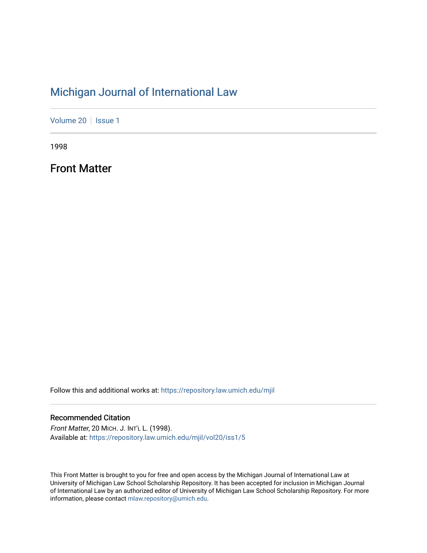## [Michigan Journal of International Law](https://repository.law.umich.edu/mjil)

[Volume 20](https://repository.law.umich.edu/mjil/vol20) | [Issue 1](https://repository.law.umich.edu/mjil/vol20/iss1)

1998

Front Matter

Follow this and additional works at: [https://repository.law.umich.edu/mjil](https://repository.law.umich.edu/mjil?utm_source=repository.law.umich.edu%2Fmjil%2Fvol20%2Fiss1%2F5&utm_medium=PDF&utm_campaign=PDFCoverPages) 

### Recommended Citation

Front Matter, 20 MICH. J. INT'L L. (1998). Available at: [https://repository.law.umich.edu/mjil/vol20/iss1/5](https://repository.law.umich.edu/mjil/vol20/iss1/5?utm_source=repository.law.umich.edu%2Fmjil%2Fvol20%2Fiss1%2F5&utm_medium=PDF&utm_campaign=PDFCoverPages) 

This Front Matter is brought to you for free and open access by the Michigan Journal of International Law at University of Michigan Law School Scholarship Repository. It has been accepted for inclusion in Michigan Journal of International Law by an authorized editor of University of Michigan Law School Scholarship Repository. For more information, please contact [mlaw.repository@umich.edu](mailto:mlaw.repository@umich.edu).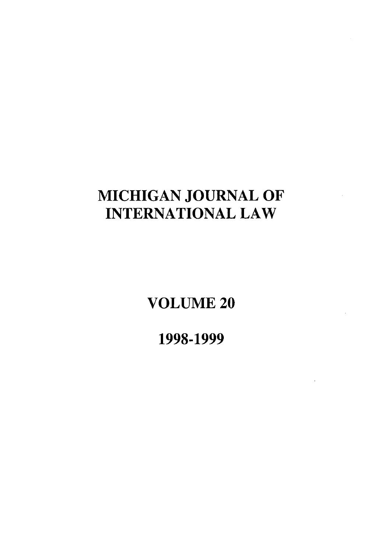# **MICHIGAN JOURNAL** OF **INTERNATIONAL** LAW

**VOLUME** 20

**1998-1999**